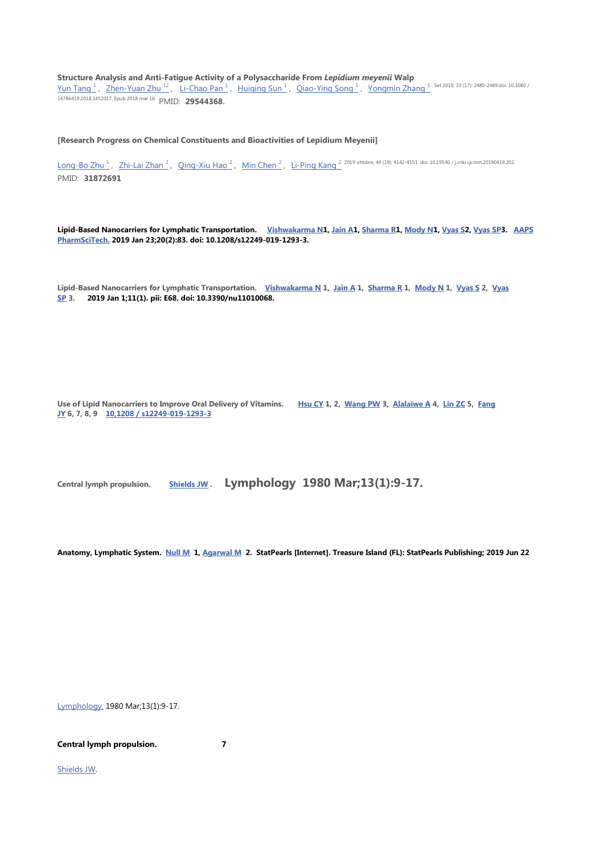**Structure Analysis and Anti-Fatigue Activity of a Polysaccharide From** *Lepidium meyenii* **Walp**

[Yun Tang](https://pubmed.ncbi.nlm.nih.gov/?term=Tang+Y&cauthor_id=29544368) <sup>[1](https://pubmed.ncbi.nlm.nih.gov/?term=Song+QY&cauthor_id=29544368)</sup>, [Zhen-Yuan Zhu](https://pubmed.ncbi.nlm.nih.gov/?term=Zhu+ZY&cauthor_id=29544368) <sup>1[2](https://pubmed.ncbi.nlm.nih.gov/29544368/#affiliation-2)</sup>, [Li-Chao Pan](https://pubmed.ncbi.nlm.nih.gov/?term=Pan+LC&cauthor_id=29544368) <sup>1</sup>, [Huiqing Sun](https://pubmed.ncbi.nlm.nih.gov/?term=Sun+H&cauthor_id=29544368) <sup>1</sup>, [Qiao-Ying Song](https://pubmed.ncbi.nlm.nih.gov/?term=Song+QY&cauthor_id=29544368) <sup>1</sup>, [Yongmin Zhang](https://pubmed.ncbi.nlm.nih.gov/?term=Zhang+Y&cauthor_id=29544368) <sup>[3](https://pubmed.ncbi.nlm.nih.gov/?term=Zhang+Y&cauthor_id=29544368)</sup>. Set 2019; 33 (17): 2480-2489.doi: 10.1080 / 14786419.2018.1452017. Epub 2018 mar 16 PMID: **29544368**.

**[Research Progress on Chemical Constituents and Bioactivities of Lepidium Meyenii]**

[Long-Bo Zhu](https://pubmed.ncbi.nlm.nih.gov/?term=Zhu+LB&cauthor_id=31872691)<sup>[1](https://pubmed.ncbi.nlm.nih.gov/?term=Zhu+LB&cauthor_id=31872691)</sup>, [Zhi-Lai Zhan](https://pubmed.ncbi.nlm.nih.gov/?term=Zhan+ZL&cauthor_id=31872691)<sup>[2](https://pubmed.ncbi.nlm.nih.gov/?term=Kang+LP&cauthor_id=31872691)</sup>, [Qing-Xiu Hao](https://pubmed.ncbi.nlm.nih.gov/?term=Hao+QX&cauthor_id=31872691)<sup>2</sup>, [Min Chen](https://pubmed.ncbi.nlm.nih.gov/?term=Chen+M&cauthor_id=31872691)<sup>2</sup>, [Li-Ping Kang](https://pubmed.ncbi.nlm.nih.gov/?term=Kang+LP&cauthor_id=31872691)<sup>2 2019</sup> ottobre; 44 (19): 4142-4151. doi: 10.19540 / j.cnki.cjcmm.20190419.202. PMID: **31872691**

**Lipid-Based Nanocarriers for Lymphatic Transportation. [Vishwakarma N1](https://www.ncbi.nlm.nih.gov/pubmed/?term=Vishwakarma%20N%5BAuthor%5D&cauthor=true&cauthor_uid=30673895), [Jain A1](https://www.ncbi.nlm.nih.gov/pubmed/?term=Jain%20A%5BAuthor%5D&cauthor=true&cauthor_uid=30673895), [Sharma R1](https://www.ncbi.nlm.nih.gov/pubmed/?term=Sharma%20R%5BAuthor%5D&cauthor=true&cauthor_uid=30673895), [Mody N1](https://www.ncbi.nlm.nih.gov/pubmed/?term=Mody%20N%5BAuthor%5D&cauthor=true&cauthor_uid=30673895), [Vyas S2](https://www.ncbi.nlm.nih.gov/pubmed/?term=Vyas%20S%5BAuthor%5D&cauthor=true&cauthor_uid=30673895), [Vyas SP3](https://www.ncbi.nlm.nih.gov/pubmed/?term=Vyas%20SP%5BAuthor%5D&cauthor=true&cauthor_uid=30673895). [AAPS](https://www.ncbi.nlm.nih.gov/pubmed/30673895)  [PharmSciTech.](https://www.ncbi.nlm.nih.gov/pubmed/30673895) 2019 Jan 23;20(2):83. doi: 10.1208/s12249-019-1293-3.** 

**Lipid-Based Nanocarriers for Lymphatic Transportation. [Vishwakarma N](https://www.ncbi.nlm.nih.gov/pubmed/?term=Vishwakarma%20N%5BAuthor%5D&cauthor=true&cauthor_uid=30673895) 1, [Jain A](https://www.ncbi.nlm.nih.gov/pubmed/?term=Jain%20A%5BAuthor%5D&cauthor=true&cauthor_uid=30673895) 1, [Sharma R](https://www.ncbi.nlm.nih.gov/pubmed/?term=Sharma%20R%5BAuthor%5D&cauthor=true&cauthor_uid=30673895) 1, [Mody N](https://www.ncbi.nlm.nih.gov/pubmed/?term=Mody%20N%5BAuthor%5D&cauthor=true&cauthor_uid=30673895) 1, [Vyas S](https://www.ncbi.nlm.nih.gov/pubmed/?term=Vyas%20S%5BAuthor%5D&cauthor=true&cauthor_uid=30673895) 2, [Vyas](https://www.ncbi.nlm.nih.gov/pubmed/?term=Vyas%20SP%5BAuthor%5D&cauthor=true&cauthor_uid=30673895)  [SP](https://www.ncbi.nlm.nih.gov/pubmed/?term=Vyas%20SP%5BAuthor%5D&cauthor=true&cauthor_uid=30673895) 3. 2019 Jan 1;11(1). pii: E68. doi: 10.3390/nu11010068.**

**Use of Lipid Nanocarriers to Improve Oral Delivery of Vitamins. [Hsu CY](https://www.ncbi.nlm.nih.gov/pubmed/?term=Hsu%20CY%5BAuthor%5D&cauthor=true&cauthor_uid=30609658) 1, 2, [Wang PW](https://www.ncbi.nlm.nih.gov/pubmed/?term=Wang%20PW%5BAuthor%5D&cauthor=true&cauthor_uid=30609658) 3, [Alalaiwe A](https://www.ncbi.nlm.nih.gov/pubmed/?term=Alalaiwe%20A%5BAuthor%5D&cauthor=true&cauthor_uid=30609658) 4, [Lin ZC](https://www.ncbi.nlm.nih.gov/pubmed/?term=Lin%20ZC%5BAuthor%5D&cauthor=true&cauthor_uid=30609658) 5, [Fang](https://www.ncbi.nlm.nih.gov/pubmed/?term=Fang%20JY%5BAuthor%5D&cauthor=true&cauthor_uid=30609658)  [JY](https://www.ncbi.nlm.nih.gov/pubmed/?term=Fang%20JY%5BAuthor%5D&cauthor=true&cauthor_uid=30609658) 6, 7, 8, 9 [10,1208 / s12249-019-1293-3](https://doi.org/10.1208/s12249-019-1293-3)**

**Central lymph propulsion. [Shields JW](https://www.ncbi.nlm.nih.gov/pubmed/?term=Shields%20JW%5BAuthor%5D&cauthor=true&cauthor_uid=7366251) . Lymphology 1980 Mar;13(1):9-17.**

**Anatomy, Lymphatic System. [Null M](https://www.ncbi.nlm.nih.gov/pubmed?term=Null%20M%5BAuthor%5D&cauthor=true&cauthor_uid=30020619) 1, [Agarwal M](https://www.ncbi.nlm.nih.gov/pubmed?term=Agarwal%20M%5BAuthor%5D&cauthor=true&cauthor_uid=30020619) 2. StatPearls [Internet]. Treasure Island (FL): StatPearls Publishing; 2019 Jun 22**

[Lymphology.](https://www.ncbi.nlm.nih.gov/pubmed/7366251) 1980 Mar;13(1):9-17.

**Central lymph propulsion. 7**

[Shields JW.](https://www.ncbi.nlm.nih.gov/pubmed/?term=Shields%20JW%5BAuthor%5D&cauthor=true&cauthor_uid=7366251)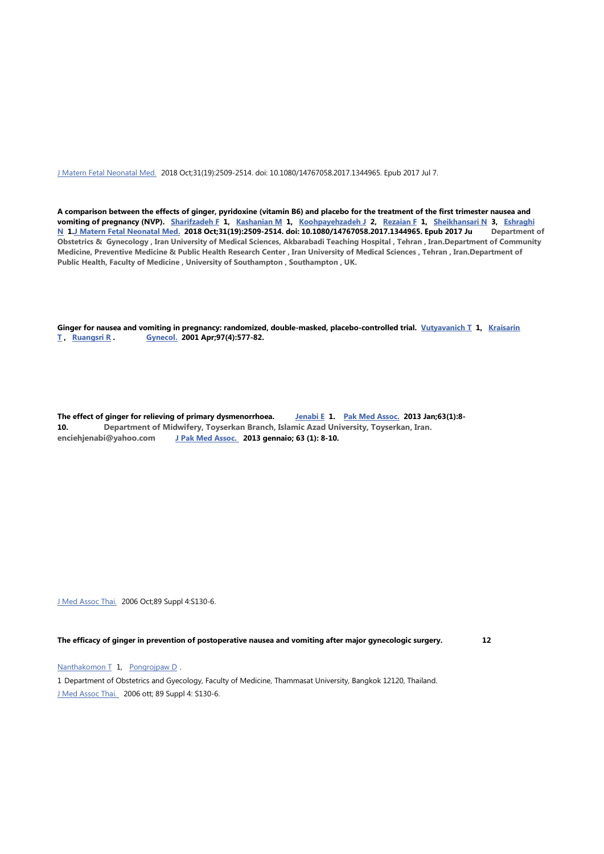[J Matern Fetal Neonatal Med.](https://www.ncbi.nlm.nih.gov/pubmed/28629250) 2018 Oct;31(19):2509-2514. doi: 10.1080/14767058.2017.1344965. Epub 2017 Jul 7.

**A comparison between the effects of ginger, pyridoxine (vitamin B6) and placebo for the treatment of the first trimester nausea and vomiting of pregnancy (NVP). [Sharifzadeh F](https://www.ncbi.nlm.nih.gov/pubmed/?term=Sharifzadeh%20F%5BAuthor%5D&cauthor=true&cauthor_uid=28629250) 1, [Kashanian M](https://www.ncbi.nlm.nih.gov/pubmed/?term=Kashanian%20M%5BAuthor%5D&cauthor=true&cauthor_uid=28629250) 1, [Koohpayehzadeh J](https://www.ncbi.nlm.nih.gov/pubmed/?term=Koohpayehzadeh%20J%5BAuthor%5D&cauthor=true&cauthor_uid=28629250) 2, [Rezaian F](https://www.ncbi.nlm.nih.gov/pubmed/?term=Rezaian%20F%5BAuthor%5D&cauthor=true&cauthor_uid=28629250) 1, [Sheikhansari N](https://www.ncbi.nlm.nih.gov/pubmed/?term=Sheikhansari%20N%5BAuthor%5D&cauthor=true&cauthor_uid=28629250) 3, [Eshraghi](https://www.ncbi.nlm.nih.gov/pubmed/?term=Eshraghi%20N%5BAuthor%5D&cauthor=true&cauthor_uid=28629250)  [N](https://www.ncbi.nlm.nih.gov/pubmed/?term=Eshraghi%20N%5BAuthor%5D&cauthor=true&cauthor_uid=28629250) [1.J Matern Fetal Neonatal Med.](https://www.ncbi.nlm.nih.gov/pubmed/28629250) 2018 Oct;31(19):2509-2514. doi: 10.1080/14767058.2017.1344965. Epub 2017 Ju Department of Obstetrics & Gynecology , Iran University of Medical Sciences, Akbarabadi Teaching Hospital , Tehran , Iran.Department of Community Medicine, Preventive Medicine & Public Health Research Center , Iran University of Medical Sciences , Tehran , Iran.Department of Public Health, Faculty of Medicine , University of Southampton , Southampton , UK.**

**Ginger for nausea and vomiting in pregnancy: randomized, double-masked, placebo-controlled trial. [Vutyavanich T](https://www.ncbi.nlm.nih.gov/pubmed/?term=Vutyavanich%20T%5BAuthor%5D&cauthor=true&cauthor_uid=11275030) 1, [Kraisarin](https://www.ncbi.nlm.nih.gov/pubmed/?term=Kraisarin%20T%5BAuthor%5D&cauthor=true&cauthor_uid=11275030)  [T](https://www.ncbi.nlm.nih.gov/pubmed/?term=Kraisarin%20T%5BAuthor%5D&cauthor=true&cauthor_uid=11275030) , [Ruangsri R](https://www.ncbi.nlm.nih.gov/pubmed/?term=Ruangsri%20R%5BAuthor%5D&cauthor=true&cauthor_uid=11275030) . [Gynecol.](https://www.ncbi.nlm.nih.gov/pubmed/11275030) 2001 Apr;97(4):577-82.** 

**The effect of ginger for relieving of primary dysmenorrhoea. [Jenabi E](https://www.ncbi.nlm.nih.gov/pubmed/?term=Jenabi%20E%5BAuthor%5D&cauthor=true&cauthor_uid=23865123) 1. [Pak Med Assoc.](https://www.ncbi.nlm.nih.gov/pubmed/23865123) 2013 Jan;63(1):8- 10. Department of Midwifery, Toyserkan Branch, Islamic Azad University, Toyserkan, Iran. enciehjenabi@yahoo.com [J Pak Med Assoc.](https://www.ncbi.nlm.nih.gov/pubmed/23865123) 2013 gennaio; 63 (1): 8-10.**

[J Med Assoc Thai.](https://www.ncbi.nlm.nih.gov/pubmed/17725149) 2006 Oct;89 Suppl 4:S130-6.

## **The efficacy of ginger in prevention of postoperative nausea and vomiting after major gynecologic surgery. 12**

[Nanthakomon T](https://www.ncbi.nlm.nih.gov/pubmed/?term=Nanthakomon%20T%5BAuthor%5D&cauthor=true&cauthor_uid=17725149) 1, [Pongrojpaw D](https://www.ncbi.nlm.nih.gov/pubmed/?term=Pongrojpaw%20D%5BAuthor%5D&cauthor=true&cauthor_uid=17725149).

1 Department of Obstetrics and Gyecology, Faculty of Medicine, Thammasat University, Bangkok 12120, Thailand. [J Med Assoc Thai.](https://www.ncbi.nlm.nih.gov/pubmed/17725149) 2006 ott; 89 Suppl 4: S130-6.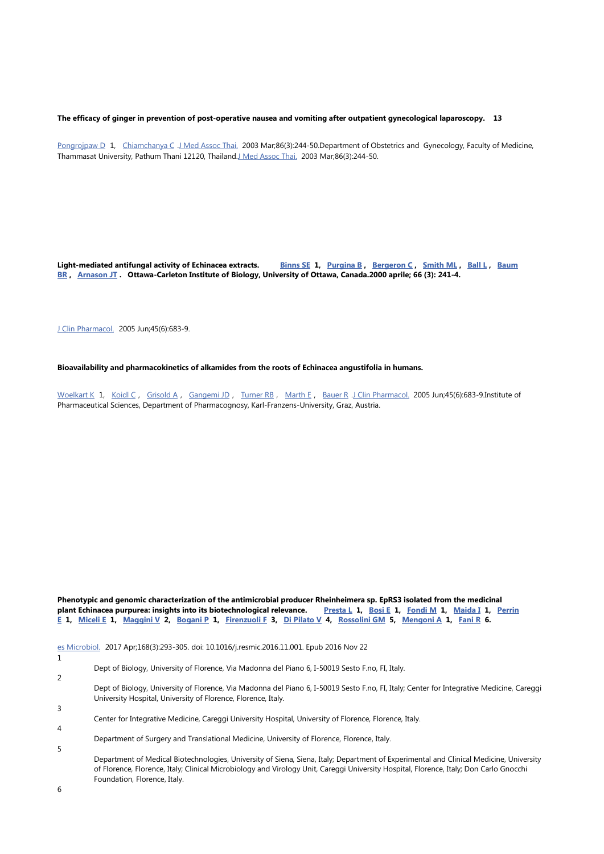## **The efficacy of ginger in prevention of post-operative nausea and vomiting after outpatient gynecological laparoscopy. 13**

[Pongrojpaw D](https://www.ncbi.nlm.nih.gov/pubmed/?term=Pongrojpaw%20D%5BAuthor%5D&cauthor=true&cauthor_uid=12757064) 1, [Chiamchanya C](https://www.ncbi.nlm.nih.gov/pubmed/?term=Chiamchanya%20C%5BAuthor%5D&cauthor=true&cauthor_uid=12757064) [.J Med Assoc Thai.](https://www.ncbi.nlm.nih.gov/pubmed/12757064) 2003 Mar;86(3):244-50.Department of Obstetrics and Gynecology, Faculty of Medicine, Thammasat University, Pathum Thani 12120, Thailan[d.J Med Assoc Thai.](https://www.ncbi.nlm.nih.gov/pubmed/12757064) 2003 Mar;86(3):244-50.

**Light-mediated antifungal activity of Echinacea extracts. [Binns SE](https://www.ncbi.nlm.nih.gov/pubmed/?term=Binns%20SE%5BAuthor%5D&cauthor=true&cauthor_uid=10821050) 1, [Purgina B](https://www.ncbi.nlm.nih.gov/pubmed/?term=Purgina%20B%5BAuthor%5D&cauthor=true&cauthor_uid=10821050) , [Bergeron C](https://www.ncbi.nlm.nih.gov/pubmed/?term=Bergeron%20C%5BAuthor%5D&cauthor=true&cauthor_uid=10821050) , [Smith ML](https://www.ncbi.nlm.nih.gov/pubmed/?term=Smith%20ML%5BAuthor%5D&cauthor=true&cauthor_uid=10821050) , [Ball L](https://www.ncbi.nlm.nih.gov/pubmed/?term=Ball%20L%5BAuthor%5D&cauthor=true&cauthor_uid=10821050) , [Baum](https://www.ncbi.nlm.nih.gov/pubmed/?term=Baum%20BR%5BAuthor%5D&cauthor=true&cauthor_uid=10821050)  [BR](https://www.ncbi.nlm.nih.gov/pubmed/?term=Baum%20BR%5BAuthor%5D&cauthor=true&cauthor_uid=10821050) , [Arnason JT](https://www.ncbi.nlm.nih.gov/pubmed/?term=Arnason%20JT%5BAuthor%5D&cauthor=true&cauthor_uid=10821050) . Ottawa-Carleton Institute of Biology, University of Ottawa, Canada.2000 aprile; 66 (3): 241-4.**

[J Clin Pharmacol.](https://www.ncbi.nlm.nih.gov/pubmed/15901750) 2005 Jun;45(6):683-9.

**Bioavailability and pharmacokinetics of alkamides from the roots of Echinacea angustifolia in humans.**

[Woelkart K](https://www.ncbi.nlm.nih.gov/pubmed/?term=Woelkart%20K%5BAuthor%5D&cauthor=true&cauthor_uid=15901750) 1, [Koidl C](https://www.ncbi.nlm.nih.gov/pubmed/?term=Koidl%20C%5BAuthor%5D&cauthor=true&cauthor_uid=15901750), [Grisold A](https://www.ncbi.nlm.nih.gov/pubmed/?term=Grisold%20A%5BAuthor%5D&cauthor=true&cauthor_uid=15901750), [Gangemi JD](https://www.ncbi.nlm.nih.gov/pubmed/?term=Gangemi%20JD%5BAuthor%5D&cauthor=true&cauthor_uid=15901750), [Turner RB](https://www.ncbi.nlm.nih.gov/pubmed/?term=Turner%20RB%5BAuthor%5D&cauthor=true&cauthor_uid=15901750), [Marth E](https://www.ncbi.nlm.nih.gov/pubmed/?term=Marth%20E%5BAuthor%5D&cauthor=true&cauthor_uid=15901750), [Bauer R](https://www.ncbi.nlm.nih.gov/pubmed/?term=Bauer%20R%5BAuthor%5D&cauthor=true&cauthor_uid=15901750) J Clin Pharmacol. 2005 Jun;45(6):683-9.Institute of Pharmaceutical Sciences, Department of Pharmacognosy, Karl-Franzens-University, Graz, Austria.

**Phenotypic and genomic characterization of the antimicrobial producer Rheinheimera sp. EpRS3 isolated from the medicinal plant Echinacea purpurea: insights into its biotechnological relevance. [Presta L](https://www.ncbi.nlm.nih.gov/pubmed/?term=Presta%20L%5BAuthor%5D&cauthor=true&cauthor_uid=27884784) 1, [Bosi E](https://www.ncbi.nlm.nih.gov/pubmed/?term=Bosi%20E%5BAuthor%5D&cauthor=true&cauthor_uid=27884784) 1, [Fondi M](https://www.ncbi.nlm.nih.gov/pubmed/?term=Fondi%20M%5BAuthor%5D&cauthor=true&cauthor_uid=27884784) 1, [Maida I](https://www.ncbi.nlm.nih.gov/pubmed/?term=Maida%20I%5BAuthor%5D&cauthor=true&cauthor_uid=27884784) 1, [Perrin](https://www.ncbi.nlm.nih.gov/pubmed/?term=Perrin%20E%5BAuthor%5D&cauthor=true&cauthor_uid=27884784)**  [E](https://www.ncbi.nlm.nih.gov/pubmed/?term=Perrin%20E%5BAuthor%5D&cauthor=true&cauthor_uid=27884784) 1, [Miceli E](https://www.ncbi.nlm.nih.gov/pubmed/?term=Miceli%20E%5BAuthor%5D&cauthor=true&cauthor_uid=27884784) 1, [Maggini V](https://www.ncbi.nlm.nih.gov/pubmed/?term=Maggini%20V%5BAuthor%5D&cauthor=true&cauthor_uid=27884784) 2, [Bogani P](https://www.ncbi.nlm.nih.gov/pubmed/?term=Bogani%20P%5BAuthor%5D&cauthor=true&cauthor_uid=27884784) 1, [Firenzuoli F](https://www.ncbi.nlm.nih.gov/pubmed/?term=Firenzuoli%20F%5BAuthor%5D&cauthor=true&cauthor_uid=27884784) 3, [Di Pilato V](https://www.ncbi.nlm.nih.gov/pubmed/?term=Di%20Pilato%20V%5BAuthor%5D&cauthor=true&cauthor_uid=27884784) 4, [Rossolini GM](https://www.ncbi.nlm.nih.gov/pubmed/?term=Rossolini%20GM%5BAuthor%5D&cauthor=true&cauthor_uid=27884784) 5, [Mengoni A](https://www.ncbi.nlm.nih.gov/pubmed/?term=Mengoni%20A%5BAuthor%5D&cauthor=true&cauthor_uid=27884784) 1, [Fani R](https://www.ncbi.nlm.nih.gov/pubmed/?term=Fani%20R%5BAuthor%5D&cauthor=true&cauthor_uid=27884784) 6.

|   | es Microbiol. 2017 Apr;168(3):293-305. doi: 10.1016/j.resmic.2016.11.001. Epub 2016 Nov 22                                                |
|---|-------------------------------------------------------------------------------------------------------------------------------------------|
| 1 |                                                                                                                                           |
|   | Dept of Biology, University of Florence, Via Madonna del Piano 6, I-50019 Sesto F.no, FI, Italy.                                          |
| 2 |                                                                                                                                           |
|   | Dept of Biology, University of Florence, Via Madonna del Piano 6, I-50019 Sesto F.no, FI, Italy; Center for Integrative Medicine, Careggi |
|   | University Hospital, University of Florence, Florence, Italy.                                                                             |
| 3 |                                                                                                                                           |
|   | Center for Integrative Medicine, Careggi University Hospital, University of Florence, Florence, Italy.                                    |
| 4 |                                                                                                                                           |
|   | Department of Surgery and Translational Medicine, University of Florence, Florence, Italy.                                                |
| 5 |                                                                                                                                           |
|   | Department of Medical Biotechnologies, University of Siena, Siena, Italy; Department of Experimental and Clinical Medicine, University    |
|   | of Florence, Florence, Italy; Clinical Microbiology and Virology Unit, Careggi University Hospital, Florence, Italy; Don Carlo Gnocchi    |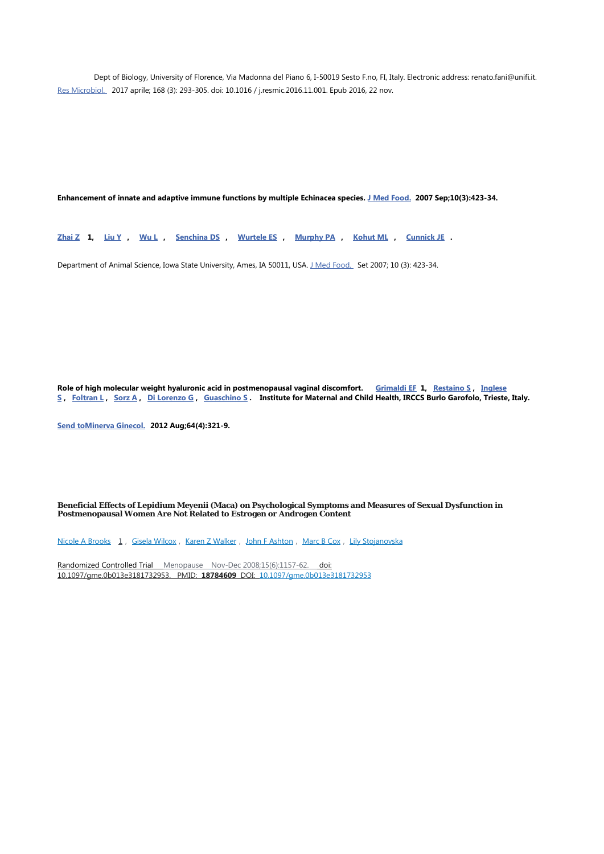Dept of Biology, University of Florence, Via Madonna del Piano 6, I-50019 Sesto F.no, FI, Italy. Electronic address: renato.fani@unifi.it. [Res Microbiol.](https://www.ncbi.nlm.nih.gov/pubmed/27884784) 2017 aprile; 168 (3): 293-305. doi: 10.1016 / j.resmic.2016.11.001. Epub 2016, 22 nov.

**Enhancement of innate and adaptive immune functions by multiple Echinacea species. [J Med Food.](https://www.ncbi.nlm.nih.gov/pubmed/17887935) 2007 Sep;10(3):423-34.**

**[Zhai Z](https://www.ncbi.nlm.nih.gov/pubmed/?term=Zhai%20Z%5BAuthor%5D&cauthor=true&cauthor_uid=17887935) 1, [Liu Y](https://www.ncbi.nlm.nih.gov/pubmed/?term=Liu%20Y%5BAuthor%5D&cauthor=true&cauthor_uid=17887935) , [Wu L](https://www.ncbi.nlm.nih.gov/pubmed/?term=Wu%20L%5BAuthor%5D&cauthor=true&cauthor_uid=17887935) , [Senchina DS](https://www.ncbi.nlm.nih.gov/pubmed/?term=Senchina%20DS%5BAuthor%5D&cauthor=true&cauthor_uid=17887935) , [Wurtele ES](https://www.ncbi.nlm.nih.gov/pubmed/?term=Wurtele%20ES%5BAuthor%5D&cauthor=true&cauthor_uid=17887935) , [Murphy PA](https://www.ncbi.nlm.nih.gov/pubmed/?term=Murphy%20PA%5BAuthor%5D&cauthor=true&cauthor_uid=17887935) , [Kohut ML](https://www.ncbi.nlm.nih.gov/pubmed/?term=Kohut%20ML%5BAuthor%5D&cauthor=true&cauthor_uid=17887935) , [Cunnick JE](https://www.ncbi.nlm.nih.gov/pubmed/?term=Cunnick%20JE%5BAuthor%5D&cauthor=true&cauthor_uid=17887935) .**

Department of Animal Science, Iowa State University, Ames, IA 50011, USA. [J Med Food.](https://www.ncbi.nlm.nih.gov/pubmed/17887935) Set 2007; 10 (3): 423-34.

**Role of high molecular weight hyaluronic acid in postmenopausal vaginal discomfort. [Grimaldi EF](https://www.ncbi.nlm.nih.gov/pubmed/?term=Grimaldi%20EF%5BAuthor%5D&cauthor=true&cauthor_uid=22728576) 1, [Restaino S](https://www.ncbi.nlm.nih.gov/pubmed/?term=Restaino%20S%5BAuthor%5D&cauthor=true&cauthor_uid=22728576) , [Inglese](https://www.ncbi.nlm.nih.gov/pubmed/?term=Inglese%20S%5BAuthor%5D&cauthor=true&cauthor_uid=22728576)  [S](https://www.ncbi.nlm.nih.gov/pubmed/?term=Inglese%20S%5BAuthor%5D&cauthor=true&cauthor_uid=22728576) , [Foltran L](https://www.ncbi.nlm.nih.gov/pubmed/?term=Foltran%20L%5BAuthor%5D&cauthor=true&cauthor_uid=22728576) , [Sorz A](https://www.ncbi.nlm.nih.gov/pubmed/?term=Sorz%20A%5BAuthor%5D&cauthor=true&cauthor_uid=22728576) , [Di Lorenzo G](https://www.ncbi.nlm.nih.gov/pubmed/?term=Di%20Lorenzo%20G%5BAuthor%5D&cauthor=true&cauthor_uid=22728576) , [Guaschino S](https://www.ncbi.nlm.nih.gov/pubmed/?term=Guaschino%20S%5BAuthor%5D&cauthor=true&cauthor_uid=22728576) . Institute for Maternal and Child Health, IRCCS Burlo Garofolo, Trieste, Italy.**

**[Send toMinerva Ginecol.](https://www.ncbi.nlm.nih.gov/pubmed/22728576) 2012 Aug;64(4):321-9.**

**Beneficial Effects of Lepidium Meyenii (Maca) on Psychological Symptoms and Measures of Sexual Dysfunction in Postmenopausal Women Are Not Related to Estrogen or Androgen Content**

[Nicole A Brooks](https://pubmed.ncbi.nlm.nih.gov/?term=Brooks+NA&cauthor_id=18784609) [1](https://pubmed.ncbi.nlm.nih.gov/18784609/?from_single_result=Brooks+NA1%2CWilcox+G%2CWalker+KZ%2CAshton+JF%2CCox+MB%2CStojanovska+L.&expanded_search_query=Brooks+NA1%2CWilcox+G%2CWalker+KZ%2CAshton+JF%2CCox+MB%2CStojanovska+L.#affiliation-1) , [Gisela Wilcox](https://pubmed.ncbi.nlm.nih.gov/?term=Wilcox+G&cauthor_id=18784609) , [Karen Z Walker](https://pubmed.ncbi.nlm.nih.gov/?term=Walker+KZ&cauthor_id=18784609) , [John F Ashton](https://pubmed.ncbi.nlm.nih.gov/?term=Ashton+JF&cauthor_id=18784609) , [Marc B Cox](https://pubmed.ncbi.nlm.nih.gov/?term=Cox+MB&cauthor_id=18784609) , [Lily Stojanovska](https://pubmed.ncbi.nlm.nih.gov/?term=Stojanovska+L&cauthor_id=18784609)

Randomized Controlled Trial Menopause Nov-Dec 2008;15(6):1157-62. doi: 10.1097/gme.0b013e3181732953. PMID: **18784609** DOI: [10.1097/gme.0b013e3181732953](https://doi.org/10.1097/gme.0b013e3181732953)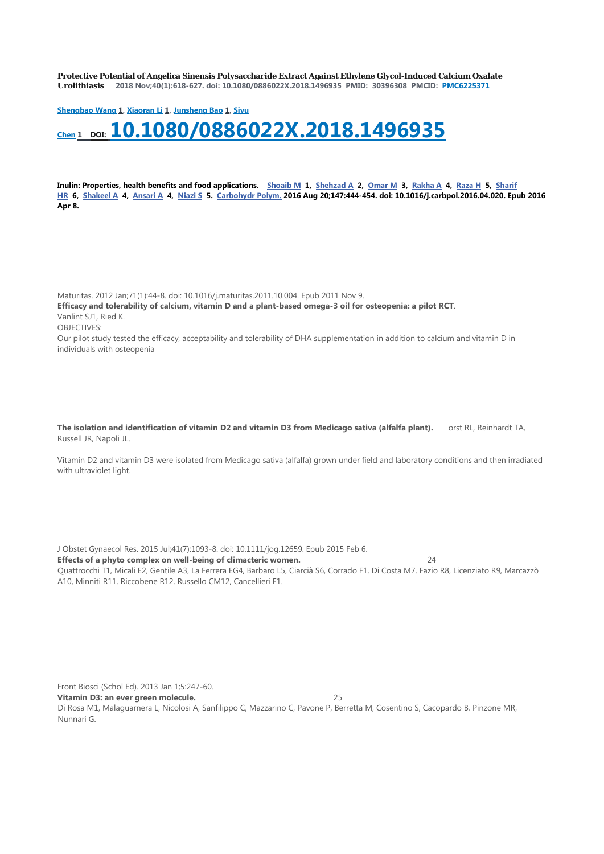**Protective Potential of Angelica Sinensis Polysaccharide Extract Against Ethylene Glycol-Induced Calcium Oxalate Urolithiasis 2018 Nov;40(1):618-627. doi: 10.1080/0886022X.2018.1496935 PMID: 30396308 PMCID: PMC6225371**

**[Shengbao Wang](https://pubmed.ncbi.nlm.nih.gov/?term=Wang+S&cauthor_id=30396308) [1,](https://pubmed.ncbi.nlm.nih.gov/30396308/?from_single_result=2018+nov%3B+40+%281%29%3A+618-627.doi%3A+10.1080+%2F+0886022X.2018.1496935.&expanded_search_query=2018+nov%3B+40+%281%29%3A+618-627.doi%3A+10.1080+%2F+0886022X.2018.1496935.#affiliation-1) [Xiaoran Li](https://pubmed.ncbi.nlm.nih.gov/?term=Li+X&cauthor_id=30396308) [1,](https://pubmed.ncbi.nlm.nih.gov/30396308/?from_single_result=2018+nov%3B+40+%281%29%3A+618-627.doi%3A+10.1080+%2F+0886022X.2018.1496935.&expanded_search_query=2018+nov%3B+40+%281%29%3A+618-627.doi%3A+10.1080+%2F+0886022X.2018.1496935.#affiliation-1) [Junsheng Bao](https://pubmed.ncbi.nlm.nih.gov/?term=Bao+J&cauthor_id=30396308) [1,](https://pubmed.ncbi.nlm.nih.gov/30396308/?from_single_result=2018+nov%3B+40+%281%29%3A+618-627.doi%3A+10.1080+%2F+0886022X.2018.1496935.&expanded_search_query=2018+nov%3B+40+%281%29%3A+618-627.doi%3A+10.1080+%2F+0886022X.2018.1496935.#affiliation-1) [Siyu](https://pubmed.ncbi.nlm.nih.gov/?term=Chen+S&cauthor_id=30396308)** 

**[Chen](https://pubmed.ncbi.nlm.nih.gov/?term=Chen+S&cauthor_id=30396308) <sup>1</sup> [DOI:](https://pubmed.ncbi.nlm.nih.gov/30396308/?from_single_result=2018+nov%3B+40+%281%29%3A+618-627.doi%3A+10.1080+%2F+0886022X.2018.1496935.&expanded_search_query=2018+nov%3B+40+%281%29%3A+618-627.doi%3A+10.1080+%2F+0886022X.2018.1496935.#affiliation-1) [10.1080/0886022X.2018.1496935](https://pubmed.ncbi.nlm.nih.gov/30396308/?from_single_result=2018+nov%3B+40+%281%29%3A+618-627.doi%3A+10.1080+%2F+0886022X.2018.1496935.&expanded_search_query=2018+nov%3B+40+%281%29%3A+618-627.doi%3A+10.1080+%2F+0886022X.2018.1496935.#affiliation-1)**

**Inulin: Properties, health benefits and food applications. [Shoaib M](https://www.ncbi.nlm.nih.gov/pubmed/?term=Shoaib%20M%5BAuthor%5D&cauthor=true&cauthor_uid=27178951) 1, [Shehzad A](https://www.ncbi.nlm.nih.gov/pubmed/?term=Shehzad%20A%5BAuthor%5D&cauthor=true&cauthor_uid=27178951) 2, [Omar M](https://www.ncbi.nlm.nih.gov/pubmed/?term=Omar%20M%5BAuthor%5D&cauthor=true&cauthor_uid=27178951) 3, [Rakha A](https://www.ncbi.nlm.nih.gov/pubmed/?term=Rakha%20A%5BAuthor%5D&cauthor=true&cauthor_uid=27178951) 4, [Raza H](https://www.ncbi.nlm.nih.gov/pubmed/?term=Raza%20H%5BAuthor%5D&cauthor=true&cauthor_uid=27178951) 5, [Sharif](https://www.ncbi.nlm.nih.gov/pubmed/?term=Sharif%20HR%5BAuthor%5D&cauthor=true&cauthor_uid=27178951)  [HR](https://www.ncbi.nlm.nih.gov/pubmed/?term=Sharif%20HR%5BAuthor%5D&cauthor=true&cauthor_uid=27178951) 6, [Shakeel A](https://www.ncbi.nlm.nih.gov/pubmed/?term=Shakeel%20A%5BAuthor%5D&cauthor=true&cauthor_uid=27178951) 4, [Ansari A](https://www.ncbi.nlm.nih.gov/pubmed/?term=Ansari%20A%5BAuthor%5D&cauthor=true&cauthor_uid=27178951) 4, [Niazi S](https://www.ncbi.nlm.nih.gov/pubmed/?term=Niazi%20S%5BAuthor%5D&cauthor=true&cauthor_uid=27178951) 5. [Carbohydr Polym.](https://www.ncbi.nlm.nih.gov/pubmed/27178951) 2016 Aug 20;147:444-454. doi: 10.1016/j.carbpol.2016.04.020. Epub 2016 Apr 8.**

Maturitas. 2012 Jan;71(1):44-8. doi: 10.1016/j.maturitas.2011.10.004. Epub 2011 Nov 9. **Efficacy and tolerability of calcium, vitamin D and a plant-based omega-3 oil for osteopenia: a pilot RCT**. Vanlint SJ1, Ried K. OBJECTIVES: Our pilot study tested the efficacy, acceptability and tolerability of DHA supplementation in addition to calcium and vitamin D in individuals with osteopenia

**The isolation and identification of vitamin D2 and vitamin D3 from Medicago sativa (alfalfa plant).** orst RL, Reinhardt TA, Russell JR, Napoli JL.

Vitamin D2 and vitamin D3 were isolated from Medicago sativa (alfalfa) grown under field and laboratory conditions and then irradiated with ultraviolet light.

J Obstet Gynaecol Res. 2015 Jul;41(7):1093-8. doi: 10.1111/jog.12659. Epub 2015 Feb 6. **Effects of a phyto complex on well-being of climacteric women.** 24 Quattrocchi T1, Micali E2, Gentile A3, La Ferrera EG4, Barbaro L5, Ciarcià S6, Corrado F1, Di Costa M7, Fazio R8, Licenziato R9, Marcazzò A10, Minniti R11, Riccobene R12, Russello CM12, Cancellieri F1.

Front Biosci (Schol Ed). 2013 Jan 1;5:247-60.

**Vitamin D3: an ever green molecule.** 25 Di Rosa M1, Malaguarnera L, Nicolosi A, Sanfilippo C, Mazzarino C, Pavone P, Berretta M, Cosentino S, Cacopardo B, Pinzone MR, Nunnari G.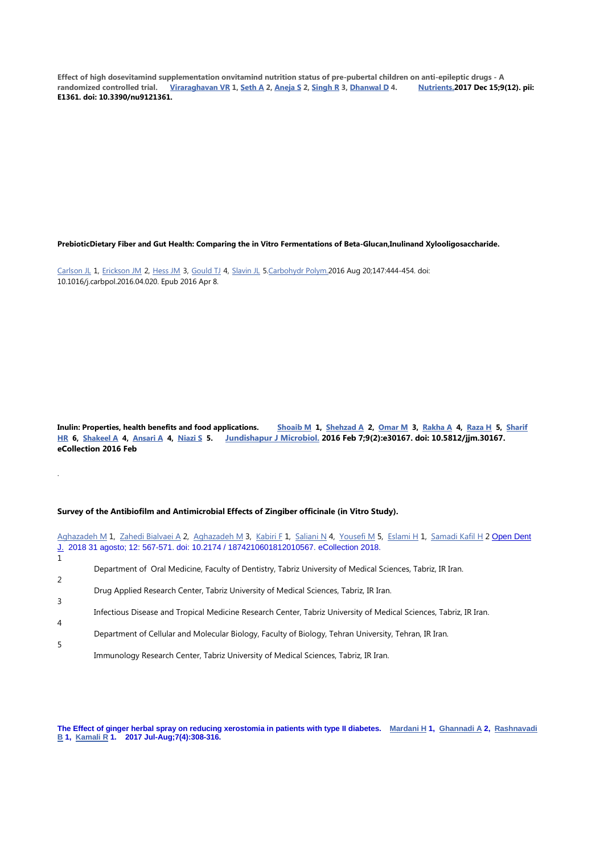**Effect of high dosevitamind supplementation onvitamind nutrition status of pre-pubertal children on anti-epileptic drugs - A randomized controlled trial. Viraraghavan VR 1, Seth A 2, Aneja S 2, Singh R 3, Dhanwal D 4. Nutrients.2017 Dec 15;9(12). pii: E1361. doi: 10.3390/nu912136[1.](https://www.ncbi.nlm.nih.gov/pubmed/?term=Viraraghavan%20VR%5BAuthor%5D&cauthor=true&cauthor_uid=30661698)**

**PrebioticDietary Fiber and Gut Health: Comparing the in Vitro Fermentations of Beta-Glucan,Inulinand Xylooligosaccharide.**

[Carlson JL](https://www.ncbi.nlm.nih.gov/pubmed/?term=Carlson%20JL%5BAuthor%5D&cauthor=true&cauthor_uid=29244718) 1, [Erickson JM](https://www.ncbi.nlm.nih.gov/pubmed/?term=Erickson%20JM%5BAuthor%5D&cauthor=true&cauthor_uid=29244718) 2, [Hess JM](https://www.ncbi.nlm.nih.gov/pubmed/?term=Hess%20JM%5BAuthor%5D&cauthor=true&cauthor_uid=29244718) 3, [Gould TJ](https://www.ncbi.nlm.nih.gov/pubmed/?term=Gould%20TJ%5BAuthor%5D&cauthor=true&cauthor_uid=29244718) 4, [Slavin JL](https://www.ncbi.nlm.nih.gov/pubmed/?term=Slavin%20JL%5BAuthor%5D&cauthor=true&cauthor_uid=29244718) [5.Carbohydr Polym.2](https://www.ncbi.nlm.nih.gov/pubmed/27178951)016 Aug 20;147:444-454. doi: 10.1016/j.carbpol.2016.04.020. Epub 2016 Apr 8.

**Inulin: Properties, health benefits and food applications. [Shoaib M](https://www.ncbi.nlm.nih.gov/pubmed/?term=Shoaib%20M%5BAuthor%5D&cauthor=true&cauthor_uid=27178951) 1, [Shehzad A](https://www.ncbi.nlm.nih.gov/pubmed/?term=Shehzad%20A%5BAuthor%5D&cauthor=true&cauthor_uid=27178951) 2, [Omar M](https://www.ncbi.nlm.nih.gov/pubmed/?term=Omar%20M%5BAuthor%5D&cauthor=true&cauthor_uid=27178951) 3, [Rakha A](https://www.ncbi.nlm.nih.gov/pubmed/?term=Rakha%20A%5BAuthor%5D&cauthor=true&cauthor_uid=27178951) 4, [Raza H](https://www.ncbi.nlm.nih.gov/pubmed/?term=Raza%20H%5BAuthor%5D&cauthor=true&cauthor_uid=27178951) 5, [Sharif](https://www.ncbi.nlm.nih.gov/pubmed/?term=Sharif%20HR%5BAuthor%5D&cauthor=true&cauthor_uid=27178951)  [HR](https://www.ncbi.nlm.nih.gov/pubmed/?term=Sharif%20HR%5BAuthor%5D&cauthor=true&cauthor_uid=27178951) 6, [Shakeel A](https://www.ncbi.nlm.nih.gov/pubmed/?term=Shakeel%20A%5BAuthor%5D&cauthor=true&cauthor_uid=27178951) 4, [Ansari A](https://www.ncbi.nlm.nih.gov/pubmed/?term=Ansari%20A%5BAuthor%5D&cauthor=true&cauthor_uid=27178951) 4, [Niazi S](https://www.ncbi.nlm.nih.gov/pubmed/?term=Niazi%20S%5BAuthor%5D&cauthor=true&cauthor_uid=27178951) 5. [Jundishapur J Microbiol.](https://www.ncbi.nlm.nih.gov/pubmed/?term=ginger+and+Oral+thrush) 2016 Feb 7;9(2):e30167. doi: 10.5812/jjm.30167. eCollection 2016 Feb**

## **Survey of the Antibiofilm and Antimicrobial Effects of Zingiber officinale (in Vitro Study).**

.

|   | <u>Aghazadeh M 1, Zahedi Bialvaei A 2, Aghazadeh M 3, Kabiri F 1, Saliani N 4, Yousefi M 5, Eslami H 1, Samadi Kafil H 2 Open Dent</u><br>J. 2018 31 agosto; 12: 567-571. doi: 10.2174 / 1874210601812010567. eCollection 2018. |
|---|---------------------------------------------------------------------------------------------------------------------------------------------------------------------------------------------------------------------------------|
|   | Department of Oral Medicine, Faculty of Dentistry, Tabriz University of Medical Sciences, Tabriz, IR Iran.                                                                                                                      |
| 2 | Drug Applied Research Center, Tabriz University of Medical Sciences, Tabriz, IR Iran.                                                                                                                                           |
| 3 | Infectious Disease and Tropical Medicine Research Center, Tabriz University of Medical Sciences, Tabriz, IR Iran.                                                                                                               |
| 4 | Department of Cellular and Molecular Biology, Faculty of Biology, Tehran University, Tehran, IR Iran.                                                                                                                           |
| 5 | Immunology Research Center, Tabriz University of Medical Sciences, Tabriz, IR Iran.                                                                                                                                             |